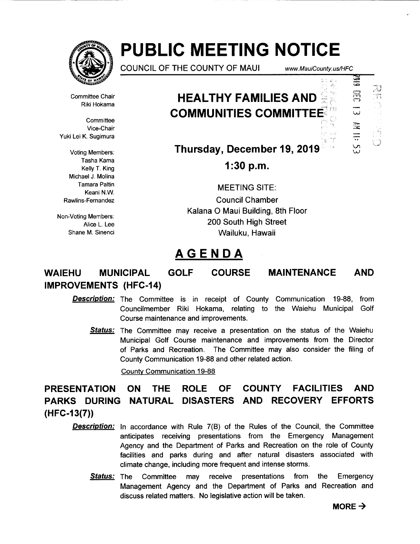

----------- -

# **PUBLIC MEETING NOTICE**

COUNCIL OF THE COUNTY OF MAUl www. MauiCounty. us/HFC

Committee Chair Riki Hokama

**Committee** Vice-Chair Yuki Lei K. Sugimura

Voting Members: Tasha Kama Kelly T. King Michael J. Molina Tamara Paltin Keani N.W. Rawlins-Fernandez

Non-Voting Members: Alice L Lee Shane M. Sinenci

# **HEALTHY FAMILIES AND COMMUNITIES COMMITTEE**



**Thursday, December 19, 2019** 

**1:30 p.m.** 

MEETING SITE: Council Chamber Kalana 0 Maui Building, 8th Floor 200 South High Street Wailuku, Hawaii

# **AGENDA**

# **WAIEHU MUNICIPAL GOLF COURSE MAINTENANCE IMPROVEMENTS (HFC-14) AND**

- **Description:** The Committee is in receipt of County Communication 19-88, from Councilmember Riki Hokama, relating to the Waiehu Municipal Golf Course maintenance and improvements.
	- **Status:** The Committee may receive a presentation on the status of the Waiehu Municipal Golf Course maintenance and improvements from the Director of Parks and Recreation. The Committee may also consider the filing of County Communication 19-88 and other related action.

County Communication 19-88

**PRESENTATION ON THE ROLE OF COUNTY FACILITIES AND PARKS DURING NATURAL DISASTERS AND RECOVERY EFFORTS (HFC-13(7))** 

- **Description:** In accordance with Rule 7(B) of the Rules of the Council, the Committee anticipates receiving presentations from the Emergency Management Agency and the Department of Parks and Recreation on the role of County facilities and parks during and after natural disasters associated with climate change, including more frequent and intense storms.
	- **Status:** The Committee may receive presentations from the Emergency Management Agency and the Department of Parks and Recreation and discuss related matters. No legislative action will be taken.